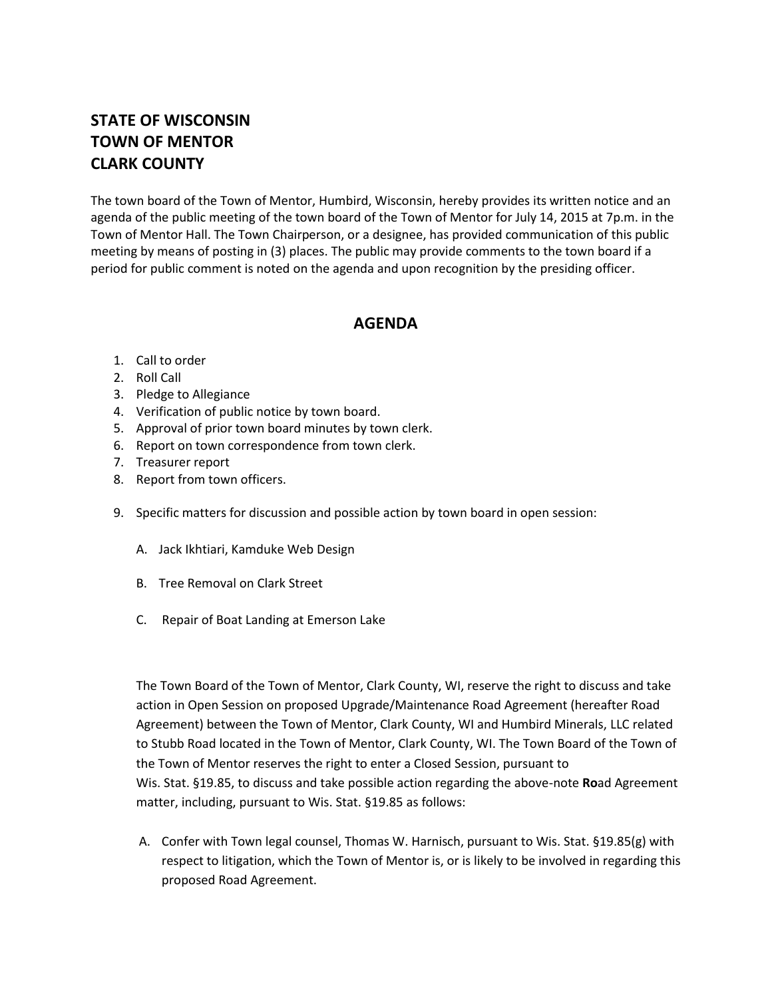## **STATE OF WISCONSIN TOWN OF MENTOR CLARK COUNTY**

The town board of the Town of Mentor, Humbird, Wisconsin, hereby provides its written notice and an agenda of the public meeting of the town board of the Town of Mentor for July 14, 2015 at 7p.m. in the Town of Mentor Hall. The Town Chairperson, or a designee, has provided communication of this public meeting by means of posting in (3) places. The public may provide comments to the town board if a period for public comment is noted on the agenda and upon recognition by the presiding officer.

## **AGENDA**

- 1. Call to order
- 2. Roll Call
- 3. Pledge to Allegiance
- 4. Verification of public notice by town board.
- 5. Approval of prior town board minutes by town clerk.
- 6. Report on town correspondence from town clerk.
- 7. Treasurer report
- 8. Report from town officers.
- 9. Specific matters for discussion and possible action by town board in open session:
	- A. Jack Ikhtiari, Kamduke Web Design
	- B. Tree Removal on Clark Street
	- C. Repair of Boat Landing at Emerson Lake

The Town Board of the Town of Mentor, Clark County, WI, reserve the right to discuss and take action in Open Session on proposed Upgrade/Maintenance Road Agreement (hereafter Road Agreement) between the Town of Mentor, Clark County, WI and Humbird Minerals, LLC related to Stubb Road located in the Town of Mentor, Clark County, WI. The Town Board of the Town of the Town of Mentor reserves the right to enter a Closed Session, pursuant to Wis. Stat. §19.85, to discuss and take possible action regarding the above-note **Ro**ad Agreement matter, including, pursuant to Wis. Stat. §19.85 as follows:

A. Confer with Town legal counsel, Thomas W. Harnisch, pursuant to Wis. Stat. §19.85(g) with respect to litigation, which the Town of Mentor is, or is likely to be involved in regarding this proposed Road Agreement.